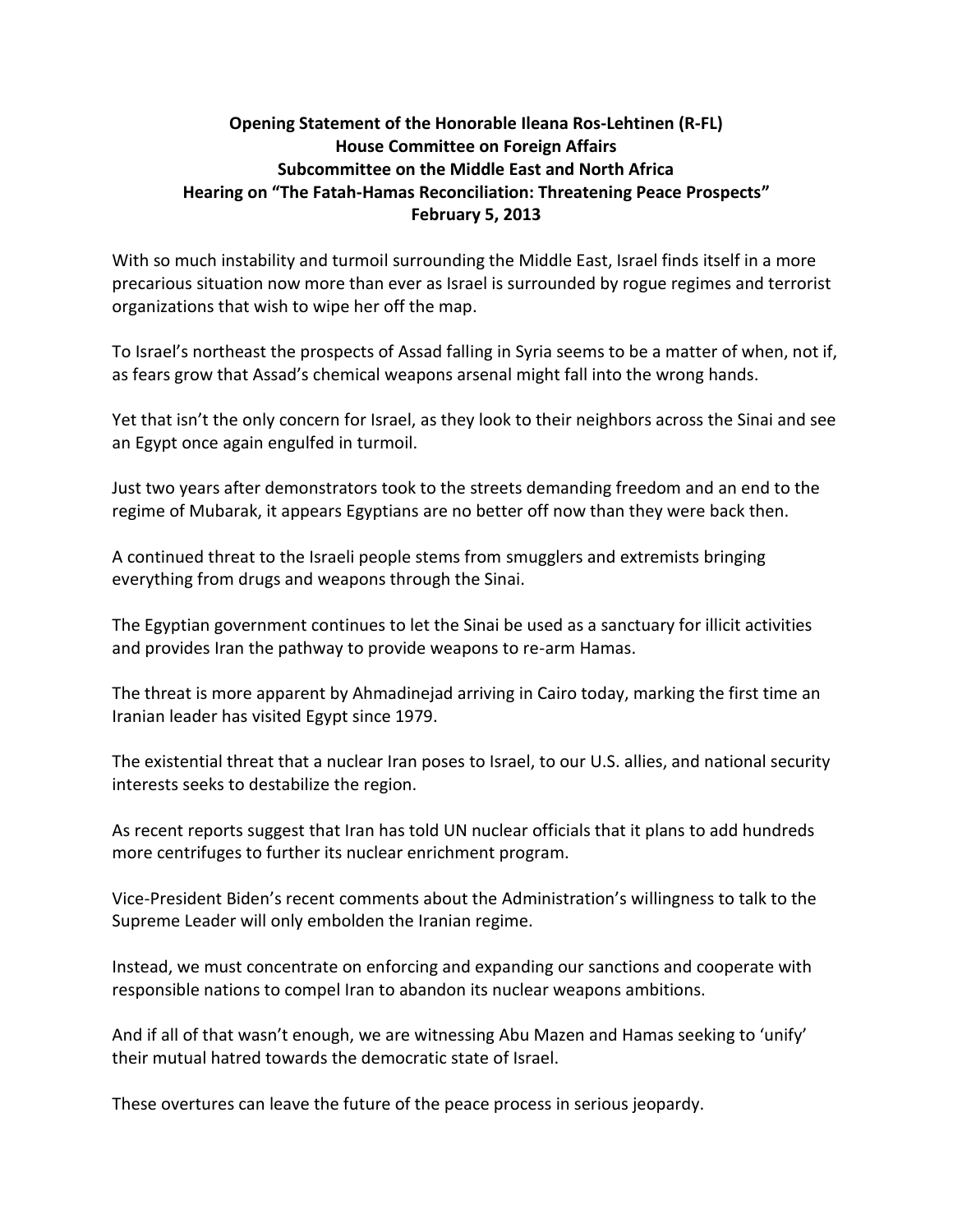## **Opening Statement of the Honorable Ileana Ros-Lehtinen (R-FL) House Committee on Foreign Affairs Subcommittee on the Middle East and North Africa Hearing on "The Fatah-Hamas Reconciliation: Threatening Peace Prospects" February 5, 2013**

With so much instability and turmoil surrounding the Middle East, Israel finds itself in a more precarious situation now more than ever as Israel is surrounded by rogue regimes and terrorist organizations that wish to wipe her off the map.

To Israel's northeast the prospects of Assad falling in Syria seems to be a matter of when, not if, as fears grow that Assad's chemical weapons arsenal might fall into the wrong hands.

Yet that isn't the only concern for Israel, as they look to their neighbors across the Sinai and see an Egypt once again engulfed in turmoil.

Just two years after demonstrators took to the streets demanding freedom and an end to the regime of Mubarak, it appears Egyptians are no better off now than they were back then.

A continued threat to the Israeli people stems from smugglers and extremists bringing everything from drugs and weapons through the Sinai.

The Egyptian government continues to let the Sinai be used as a sanctuary for illicit activities and provides Iran the pathway to provide weapons to re-arm Hamas.

The threat is more apparent by Ahmadinejad arriving in Cairo today, marking the first time an Iranian leader has visited Egypt since 1979.

The existential threat that a nuclear Iran poses to Israel, to our U.S. allies, and national security interests seeks to destabilize the region.

As recent reports suggest that Iran has told UN nuclear officials that it plans to add hundreds more centrifuges to further its nuclear enrichment program.

Vice-President Biden's recent comments about the Administration's willingness to talk to the Supreme Leader will only embolden the Iranian regime.

Instead, we must concentrate on enforcing and expanding our sanctions and cooperate with responsible nations to compel Iran to abandon its nuclear weapons ambitions.

And if all of that wasn't enough, we are witnessing Abu Mazen and Hamas seeking to 'unify' their mutual hatred towards the democratic state of Israel.

These overtures can leave the future of the peace process in serious jeopardy.